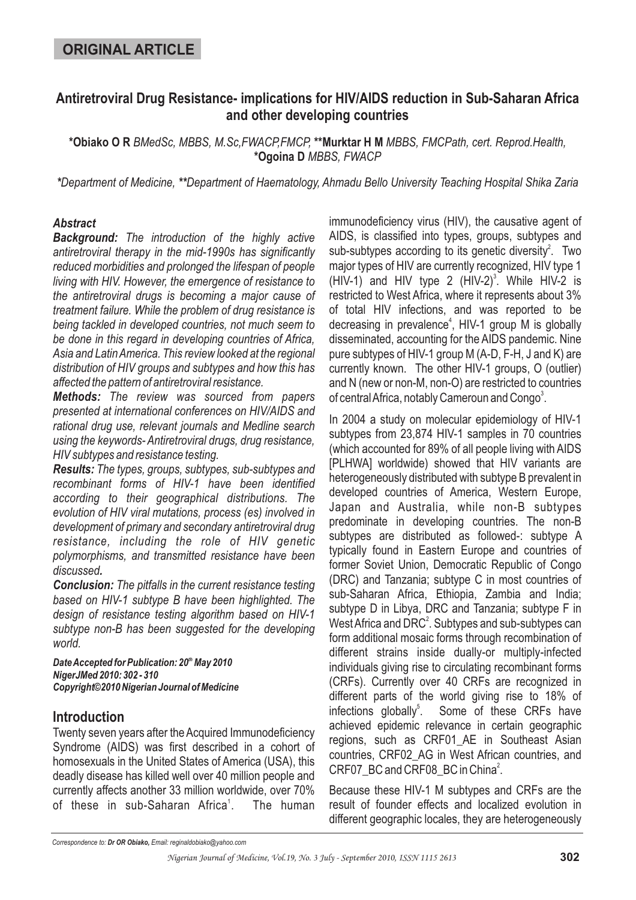## **Antiretroviral Drug Resistance- implications for HIV/AIDS reduction in Sub-Saharan Africa and other developing countries**

\*Obiako O R BMedSc, MBBS, M.Sc,FWACP,FMCP, \*\*Murktar H M MBBS, FMCPath, cert. Reprod.Health, **\*Ogoina D** *MBBS, FWACP*

*\* \*\* Department of Medicine, Department of Haematology, Ahmadu Bello University Teaching Hospital Shika Zaria*

### *Abstract*

*Background: The introduction of the highly active antiretroviral therapy in the mid-1990s has significantly reduced morbidities and prolonged the lifespan of people living with HIV. However, the emergence of resistance to the antiretroviral drugs is becoming a major cause of treatment failure. While the problem of drug resistance is being tackled in developed countries, not much seem to be done in this regard in developing countries of Africa, Asia and LatinAmerica. This review looked at the regional distribution of HIV groups and subtypes and how this has affected the pattern of antiretroviral resistance.*

*Methods: The review was sourced from papers presented at international conferences on HIV/AIDS and rational drug use, relevant journals and Medline search using the keywords- Antiretroviral drugs, drug resistance, HIV subtypes and resistance testing.*

*Results: The types, groups, subtypes, sub-subtypes and . discussed recombinant forms of HIV-1 have been identified according to their geographical distributions. The evolution of HIV viral mutations, process (es) involved in development of primary and secondary antiretroviral drug resistance, including the role of HIV genetic polymorphisms, and transmitted resistance have been*

*Conclusion: The pitfalls in the current resistance testing based on HIV-1 subtype B have been highlighted. The design of resistance testing algorithm based on HIV-1 subtype non-B has been suggested for the developing world.*

*DateAccepted for Publication: 20 May 2010 th NigerJMed 2010: 302 - 310 Copyright©2010 Nigerian Journal of Medicine*

### **Introduction**

Twenty seven years after the Acquired Immunodeficiency Syndrome (AIDS) was first described in a cohort of homosexuals in the United States of America (USA), this deadly disease has killed well over 40 million people and currently affects another 33 million worldwide, over 70% of these in sub-Saharan Africa<sup>1</sup>. The human immunodeficiency virus (HIV), the causative agent of AIDS, is classified into types, groups, subtypes and sub-subtypes according to its genetic diversity<sup>2</sup>. Two major types of HIV are currently recognized, HIV type 1 (HIV-1) and HIV type 2  $(HIV-2)^3$ . While HIV-2 is restricted to West Africa, where it represents about 3% of total HIV infections, and was reported to be decreasing in prevalence<sup>4</sup>, HIV-1 group M is globally disseminated, accounting for the AIDS pandemic. Nine pure subtypes of HIV-1 group M (A-D, F-H, J and K) are currently known. The other HIV-1 groups, O (outlier) and N (new or non-M, non-O) are restricted to countries of central Africa, notably Cameroun and Congo $^3$ .

In 2004 a study on molecular epidemiology of HIV-1 subtypes from 23,874 HIV-1 samples in 70 countries (which accounted for 89% of all people living with AIDS [PLHWA] worldwide) showed that HIV variants are heterogeneously distributed with subtype B prevalent in developed countries of America, Western Europe, Japan and Australia, while non-B subtypes predominate in developing countries. The non-B subtypes are distributed as followed-: subtype A typically found in Eastern Europe and countries of former Soviet Union, Democratic Republic of Congo (DRC) and Tanzania; subtype C in most countries of sub-Saharan Africa, Ethiopia, Zambia and India; subtype D in Libya, DRC and Tanzania; subtype F in West Africa and DRC $^2$ . Subtypes and sub-subtypes can form additional mosaic forms through recombination of different strains inside dually-or multiply-infected individuals giving rise to circulating recombinant forms (CRFs). Currently over 40 CRFs are recognized in different parts of the world giving rise to 18% of Some of these CRFs have achieved epidemic relevance in certain geographic regions, such as CRF01 AE in Southeast Asian countries, CRF02\_AG in West African countries, and  $CRF07$ \_BC and  $CRF08$ \_BC in China<sup>2</sup>. infections alobally<sup>5</sup>.

Because these HIV-1 M subtypes and CRFs are the result of founder effects and localized evolution in different geographic locales, they are heterogeneously

*Correspondence to: Email: reginaldobiako@yahoo.com Dr OR Obiako,*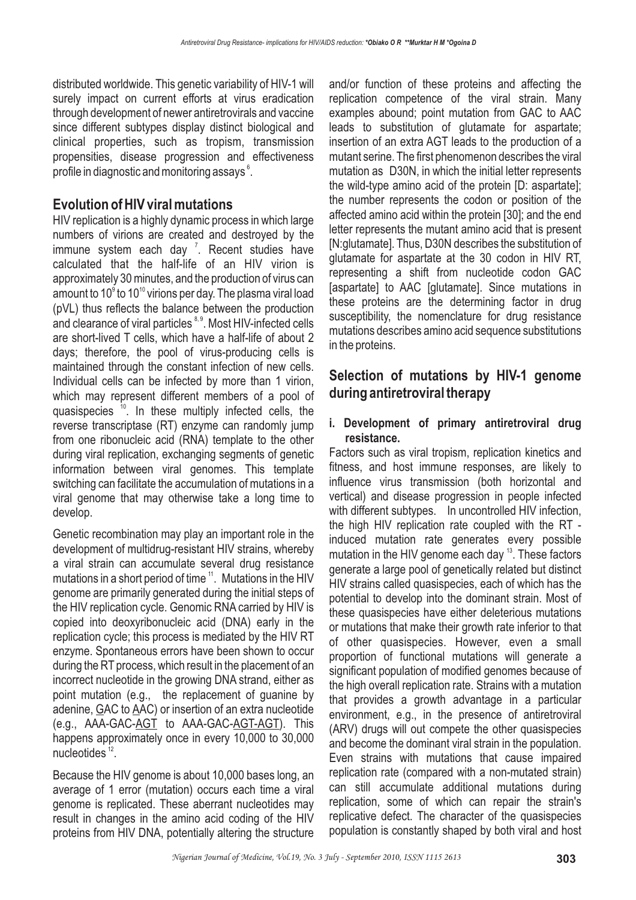distributed worldwide. This genetic variability of HIV-1 will surely impact on current efforts at virus eradication through development of newer antiretrovirals and vaccine since different subtypes display distinct biological and clinical properties, such as tropism, transmission propensities, disease progression and effectiveness profile in diagnostic and monitoring assays  $^\circ$ .

### **Evolution of HIV viral mutations**

HIV replication is a highly dynamic process in which large numbers of virions are created and destroyed by the immune system each day  $\frac{7}{1}$ . Recent studies have calculated that the half-life of an HIV virion is approximately 30 minutes, and the production of virus can amount to 10 $^{\circ}$  to 10 $^{\circ}$  virions per day. The plasma viral load (pVL) thus reflects the balance between the production and clearance of viral particles  $\mathrm{^{8,9}}.$  Most HIV-infected cells are short-lived T cells, which have a half-life of about 2 days; therefore, the pool of virus-producing cells is maintained through the constant infection of new cells. Individual cells can be infected by more than 1 virion, which may represent different members of a pool of quasispecies <sup>10</sup>. In these multiply infected cells, the reverse transcriptase (RT) enzyme can randomly jump from one ribonucleic acid (RNA) template to the other during viral replication, exchanging segments of genetic information between viral genomes. This template switching can facilitate the accumulation of mutations in a viral genome that may otherwise take a long time to develop.

Genetic recombination may play an important role in the development of multidrug-resistant HIV strains, whereby a viral strain can accumulate several drug resistance mutations in a short period of time  $11$ . Mutations in the HIV genome are primarily generated during the initial steps of the HIV replication cycle. Genomic RNA carried by HIV is copied into deoxyribonucleic acid (DNA) early in the replication cycle; this process is mediated by the HIV RT enzyme. Spontaneous errors have been shown to occur during the RT process, which result in the placement of an incorrect nucleotide in the growing DNA strand, either as point mutation (e.g., the replacement of guanine by adenine, <u>G</u>AC to <u>A</u>AC) or insertion of an extra nucleotide (e.g., AAA-GAC-<u>AGT</u> to AAA-GAC-<u>AGT-AGT</u>). This happens approximately once in every 10,000 to 30,000 nucleotides  $^{12}$ .

Because the HIV genome is about 10,000 bases long, an average of 1 error (mutation) occurs each time a viral genome is replicated. These aberrant nucleotides may result in changes in the amino acid coding of the HIV proteins from HIV DNA, potentially altering the structure

and/or function of these proteins and affecting the replication competence of the viral strain. Many examples abound; point mutation from GAC to AAC leads to substitution of glutamate for aspartate; insertion of an extra AGT leads to the production of a mutant serine. The first phenomenon describes the viral mutation as D30N, in which the initial letter represents the wild-type amino acid of the protein [D: aspartate]; the number represents the codon or position of the affected amino acid within the protein [30]; and the end letter represents the mutant amino acid that is present [N:glutamate]. Thus, D30N describes the substitution of glutamate for aspartate at the 30 codon in HIV RT, representing a shift from nucleotide codon GAC [aspartate] to AAC [glutamate]. Since mutations in these proteins are the determining factor in drug susceptibility, the nomenclature for drug resistance mutations describes amino acid sequence substitutions in the proteins.

## **Selection of mutations by HIV-1 genome during antiretroviral therapy**

#### **i. Development of primary antiretroviral drug resistance.**

Factors such as viral tropism, replication kinetics and fitness, and host immune responses, are likely to influence virus transmission (both horizontal and vertical) and disease progression in people infected with different subtypes. In uncontrolled HIV infection, the high HIV replication rate coupled with the RT induced mutation rate generates every possible mutation in the HIV genome each day  $^{13}$ . These factors generate a large pool of genetically related but distinct HIV strains called quasispecies, each of which has the potential to develop into the dominant strain. Most of these quasispecies have either deleterious mutations or mutations that make their growth rate inferior to that of other quasispecies. However, even a small proportion of functional mutations will generate a significant population of modified genomes because of the high overall replication rate. Strains with a mutation that provides a growth advantage in a particular environment, e.g., in the presence of antiretroviral (ARV) drugs will out compete the other quasispecies and become the dominant viral strain in the population. Even strains with mutations that cause impaired replication rate (compared with a non-mutated strain) can still accumulate additional mutations during replication, some of which can repair the strain's replicative defect. The character of the quasispecies population is constantly shaped by both viral and host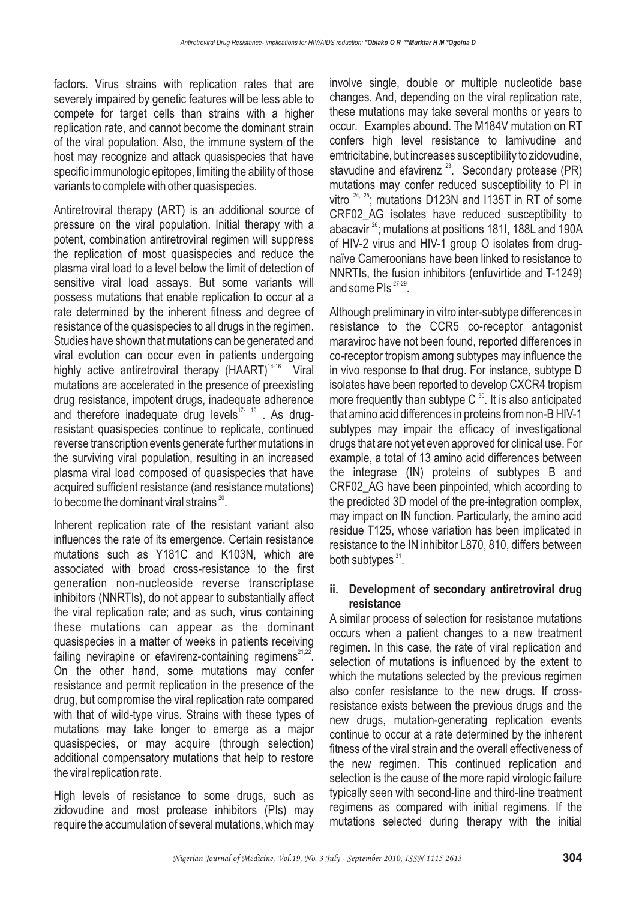factors. Virus strains with replication rates that are severely impaired by genetic features will be less able to compete for target cells than strains with a higher replication rate, and cannot become the dominant strain of the viral population. Also, the immune system of the host may recognize and attack quasispecies that have specific immunologic epitopes, limiting the ability of those variants to complete with other quasispecies.

Antiretroviral therapy (ART) is an additional source of pressure on the viral population. Initial therapy with a potent, combination antiretroviral regimen will suppress the replication of most quasispecies and reduce the plasma viral load to a level below the limit of detection of sensitive viral load assays. But some variants will possess mutations that enable replication to occur at a rate determined by the inherent fitness and degree of resistance of the quasispecies to all drugs in the regimen. Studies have shown that mutations can be generated and viral evolution can occur even in patients undergoing highly active antiretroviral therapy (HAART)<sup>14-16</sup> Viral mutations are accelerated in the presence of preexisting drug resistance, impotent drugs, inadequate adherence and therefore inadequate drug levels<sup>17-19</sup>. As drugresistant quasispecies continue to replicate, continued reverse transcription events generate further mutations in the surviving viral population, resulting in an increased plasma viral load composed of quasispecies that have acquired sufficient resistance (and resistance mutations) to become the dominant viral strains  $^{20}$ .

Inherent replication rate of the resistant variant also influences the rate of its emergence. Certain resistance mutations such as Y181C and K103N, which are associated with broad cross-resistance to the first generation non-nucleoside reverse transcriptase inhibitors (NNRTIs), do not appear to substantially affect the viral replication rate; and as such, virus containing these mutations can appear as the dominant quasispecies in a matter of weeks in patients receiving failing nevirapine or efavirenz-containing regimens $21,22$ . On the other hand, some mutations may confer resistance and permit replication in the presence of the drug, but compromise the viral replication rate compared with that of wild-type virus. Strains with these types of mutations may take longer to emerge as a major quasispecies, or may acquire (through selection) additional compensatory mutations that help to restore the viral replication rate.

High levels of resistance to some drugs, such as zidovudine and most protease inhibitors (PIs) may require the accumulation of several mutations, which may

involve single, double or multiple nucleotide base changes. And, depending on the viral replication rate, these mutations may take several months or years to occur. Examples abound. The M184V mutation on RT confers high level resistance to lamivudine and emtricitabine, but increases susceptibility to zidovudine, stavudine and efavirenz<sup>23</sup>. Secondary protease (PR) mutations may confer reduced susceptibility to PI in vitro  $24$ ,  $25$ ; mutations D123N and I135T in RT of some CRF02 AG isolates have reduced susceptibility to abacavir  $^{26}$ ; mutations at positions 181I, 188L and 190A of HIV-2 virus and HIV-1 group O isolates from drugnaïve Cameroonians have been linked to resistance to NNRTIs, the fusion inhibitors (enfuvirtide and T-1249) and some PIs  $27-29$ .

Although preliminary in vitro inter-subtype differences in resistance to the CCR5 co-receptor antagonist maraviroc have not been found, reported differences in co-receptor tropism among subtypes may influence the in vivo response to that drug. For instance, subtype D isolates have been reported to develop CXCR4 tropism more frequently than subtype C  $^{30}$ . It is also anticipated that amino acid differences in proteins from non-B HIV-1 subtypes may impair the efficacy of investigational drugs that are not yet even approved for clinical use. For example, a total of 13 amino acid differences between the integrase (IN) proteins of subtypes B and CRF02\_AG have been pinpointed, which according to the predicted 3D model of the pre-integration complex, may impact on IN function. Particularly, the amino acid residue T125, whose variation has been implicated in resistance to the IN inhibitor L870, 810, differs between both subtypes<sup>31</sup>.

### **ii. Development of secondary antiretroviral drug resistance**

A similar process of selection for resistance mutations occurs when a patient changes to a new treatment regimen. In this case, the rate of viral replication and selection of mutations is influenced by the extent to which the mutations selected by the previous regimen also confer resistance to the new drugs. If crossresistance exists between the previous drugs and the new drugs, mutation-generating replication events continue to occur at a rate determined by the inherent fitness of the viral strain and the overall effectiveness of the new regimen. This continued replication and selection is the cause of the more rapid virologic failure typically seen with second-line and third-line treatment regimens as compared with initial regimens. If the mutations selected during therapy with the initial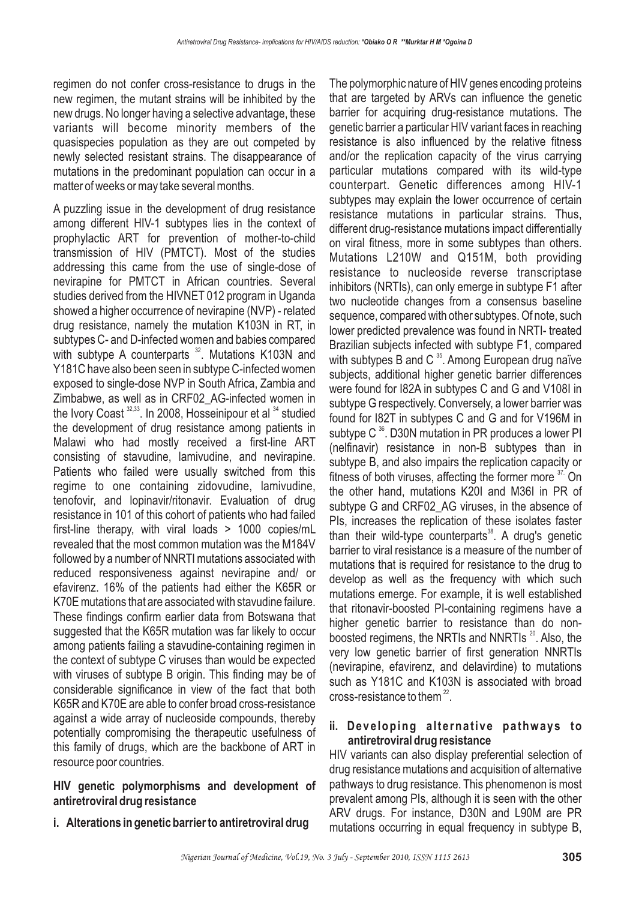regimen do not confer cross-resistance to drugs in the new regimen, the mutant strains will be inhibited by the new drugs. No longer having a selective advantage, these variants will become minority members of the quasispecies population as they are out competed by newly selected resistant strains. The disappearance of mutations in the predominant population can occur in a matter of weeks or may take several months.

A puzzling issue in the development of drug resistance among different HIV-1 subtypes lies in the context of prophylactic ART for prevention of mother-to-child transmission of HIV (PMTCT). Most of the studies addressing this came from the use of single-dose of nevirapine for PMTCT in African countries. Several studies derived from the HIVNET 012 program in Uganda showed a higher occurrence of nevirapine (NVP) - related drug resistance, namely the mutation K103N in RT, in subtypes C- and D-infected women and babies compared with subtype A counterparts  $32$ . Mutations K103N and Y181C have also been seen in subtype C-infected women exposed to single-dose NVP in South Africa, Zambia and Zimbabwe, as well as in CRF02\_AG-infected women in the Ivory Coast  $32,33$ . In 2008, Hosseinipour et al  $34$  studied the development of drug resistance among patients in Malawi who had mostly received a first-line ART consisting of stavudine, lamivudine, and nevirapine. Patients who failed were usually switched from this regime to one containing zidovudine, lamivudine, tenofovir, and lopinavir/ritonavir. Evaluation of drug resistance in 101 of this cohort of patients who had failed first-line therapy, with viral loads > 1000 copies/mL revealed that the most common mutation was the M184V followed by a number of NNRTI mutations associated with reduced responsiveness against nevirapine and/ or efavirenz. 16% of the patients had either the K65R or K70E mutations that are associated with stavudine failure. These findings confirm earlier data from Botswana that suggested that the K65R mutation was far likely to occur among patients failing a stavudine-containing regimen in the context of subtype C viruses than would be expected with viruses of subtype B origin. This finding may be of considerable significance in view of the fact that both K65R and K70E are able to confer broad cross-resistance against a wide array of nucleoside compounds, thereby potentially compromising the therapeutic usefulness of this family of drugs, which are the backbone of ART in resource poor countries.

#### **HIV genetic polymorphisms and development of antiretroviral drug resistance**

**i. Alterations in genetic barrier to antiretroviral drug**

The polymorphic nature of HIV genes encoding proteins that are targeted by ARVs can influence the genetic barrier for acquiring drug-resistance mutations. The genetic barrier a particular HIV variant faces in reaching resistance is also influenced by the relative fitness and/or the replication capacity of the virus carrying particular mutations compared with its wild-type counterpart. Genetic differences among HIV-1 subtypes may explain the lower occurrence of certain resistance mutations in particular strains. Thus, different drug-resistance mutations impact differentially on viral fitness, more in some subtypes than others. Mutations L210W and Q151M, both providing resistance to nucleoside reverse transcriptase inhibitors (NRTIs), can only emerge in subtype F1 after two nucleotide changes from a consensus baseline sequence, compared with other subtypes. Of note, such lower predicted prevalence was found in NRTI- treated Brazilian subjects infected with subtype F1, compared with subtypes B and C  $^{35}$ . Among European drug naïve subjects, additional higher genetic barrier differences were found for I82A in subtypes C and G and V108I in subtype G respectively. Conversely, a lower barrier was found for I82T in subtypes C and G and for V196M in subtype C $36$ . D30N mutation in PR produces a lower PI (nelfinavir) resistance in non-B subtypes than in subtype B, and also impairs the replication capacity or fitness of both viruses, affecting the former more  $37$ . On the other hand, mutations K20I and M36I in PR of subtype G and CRF02\_AG viruses, in the absence of PIs, increases the replication of these isolates faster than their wild-type counterparts<sup>38</sup>. A drug's genetic barrier to viral resistance is a measure of the number of mutations that is required for resistance to the drug to develop as well as the frequency with which such mutations emerge. For example, it is well established that ritonavir-boosted PI-containing regimens have a higher genetic barrier to resistance than do nonboosted regimens, the NRTIs and NNRTIs  $^{20}$ . Also, the very low genetic barrier of first generation NNRTIs (nevirapine, efavirenz, and delavirdine) to mutations such as Y181C and K103N is associated with broad cross-resistance to them $^{22}$ .

### **ii. Developing alternative pathways to antiretroviral drug resistance**

HIV variants can also display preferential selection of drug resistance mutations and acquisition of alternative pathways to drug resistance. This phenomenon is most prevalent among PIs, although it is seen with the other ARV drugs. For instance, D30N and L90M are PR mutations occurring in equal frequency in subtype B,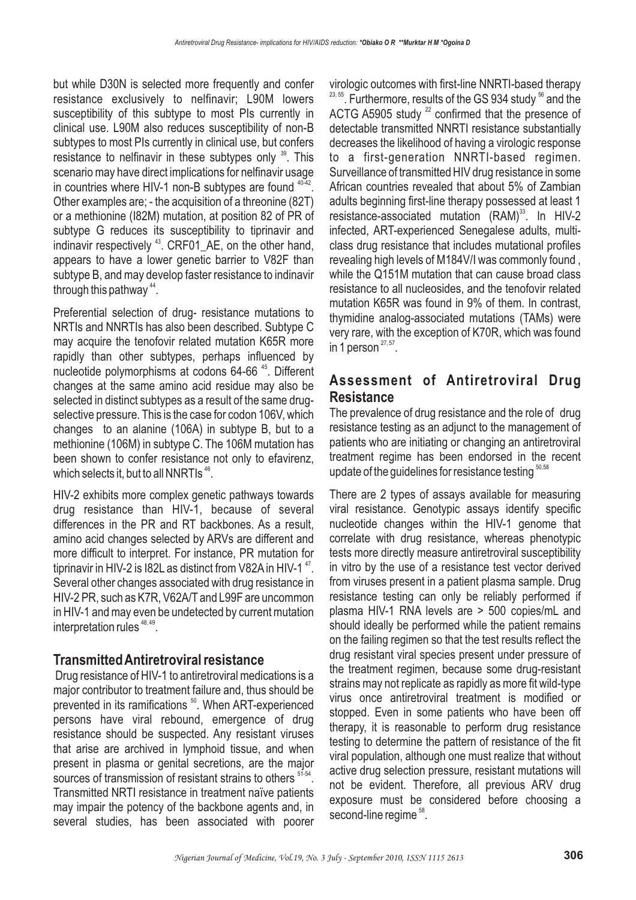but while D30N is selected more frequently and confer resistance exclusively to nelfinavir; L90M lowers susceptibility of this subtype to most PIs currently in clinical use. L90M also reduces susceptibility of non-B subtypes to most PIs currently in clinical use, but confers resistance to nelfinavir in these subtypes only  $39$ . This scenario may have direct implications for nelfinavir usage in countries where HIV-1 non-B subtypes are found  $40-42$ . Other examples are; - the acquisition of a threonine (82T) or a methionine (I82M) mutation, at position 82 of PR of subtype G reduces its susceptibility to tiprinavir and indinavir respectively <sup>43</sup>. CRF01\_AE, on the other hand, appears to have a lower genetic barrier to V82F than subtype B, and may develop faster resistance to indinavir through this pathway  $44$ .

Preferential selection of drug- resistance mutations to NRTIs and NNRTIs has also been described. Subtype C may acquire the tenofovir related mutation K65R more rapidly than other subtypes, perhaps influenced by nucleotide polymorphisms at codons 64-66<sup>45</sup>. Different changes at the same amino acid residue may also be selected in distinct subtypes as a result of the same drugselective pressure. This is the case for codon 106V, which changes to an alanine (106A) in subtype B, but to a methionine (106M) in subtype C. The 106M mutation has been shown to confer resistance not only to efavirenz, which selects it, but to all NNRTIs  $^{46}$ .

HIV-2 exhibits more complex genetic pathways towards drug resistance than HIV-1, because of several differences in the PR and RT backbones. As a result, amino acid changes selected by ARVs are different and more difficult to interpret. For instance, PR mutation for tiprinavir in HIV-2 is I82L as distinct from V82A in HIV-1  $^{47}$ . Several other changes associated with drug resistance in HIV-2 PR, such as K7R, V62A/T and L99F are uncommon in HIV-1 and may even be undetected by current mutation interpretation rules  $48, 49$ .

### **TransmittedAntiretroviral resistance**

Drug resistance of HIV-1 to antiretroviral medications is a major contributor to treatment failure and, thus should be prevented in its ramifications <sup>50</sup>. When ART-experienced persons have viral rebound, emergence of drug resistance should be suspected. Any resistant viruses that arise are archived in lymphoid tissue, and when present in plasma or genital secretions, are the major sources of transmission of resistant strains to others  $51-54$ . Transmitted NRTI resistance in treatment naïve patients may impair the potency of the backbone agents and, in several studies, has been associated with poorer

virologic outcomes with first-line NNRTI-based therapy  $^{23,55}.$  Furthermore, results of the GS 934 study  $^{56}$  and the ACTG A5905 study  $^{22}$  confirmed that the presence of detectable transmitted NNRTI resistance substantially decreases the likelihood of having a virologic response to a first-generation NNRTI-based regimen. Surveillance of transmitted HIV drug resistance in some African countries revealed that about 5% of Zambian adults beginning first-line therapy possessed at least 1 resistance-associated mutation  $(RAM)^{33}$ . In HIV-2 infected, ART-experienced Senegalese adults, multiclass drug resistance that includes mutational profiles revealing high levels of M184V/I was commonly found , while the Q151M mutation that can cause broad class resistance to all nucleosides, and the tenofovir related mutation K65R was found in 9% of them. In contrast, thymidine analog-associated mutations (TAMs) were very rare, with the exception of K70R, which was found in 1 person  $27,57$ .

# **Assessment of Antiretroviral Drug Resistance**

The prevalence of drug resistance and the role of drug resistance testing as an adjunct to the management of patients who are initiating or changing an antiretroviral treatment regime has been endorsed in the recent update of the guidelines for resistance testing  $^{\scriptscriptstyle 50,58}$ 

There are 2 types of assays available for measuring viral resistance. Genotypic assays identify specific nucleotide changes within the HIV-1 genome that correlate with drug resistance, whereas phenotypic tests more directly measure antiretroviral susceptibility in vitro by the use of a resistance test vector derived from viruses present in a patient plasma sample. Drug resistance testing can only be reliably performed if plasma HIV-1 RNA levels are > 500 copies/mL and should ideally be performed while the patient remains on the failing regimen so that the test results reflect the drug resistant viral species present under pressure of the treatment regimen, because some drug-resistant strains may not replicate as rapidly as more fit wild-type virus once antiretroviral treatment is modified or stopped. Even in some patients who have been off therapy, it is reasonable to perform drug resistance testing to determine the pattern of resistance of the fit viral population, although one must realize that without active drug selection pressure, resistant mutations will not be evident. Therefore, all previous ARV drug exposure must be considered before choosing a second-line regime  $^{58}.$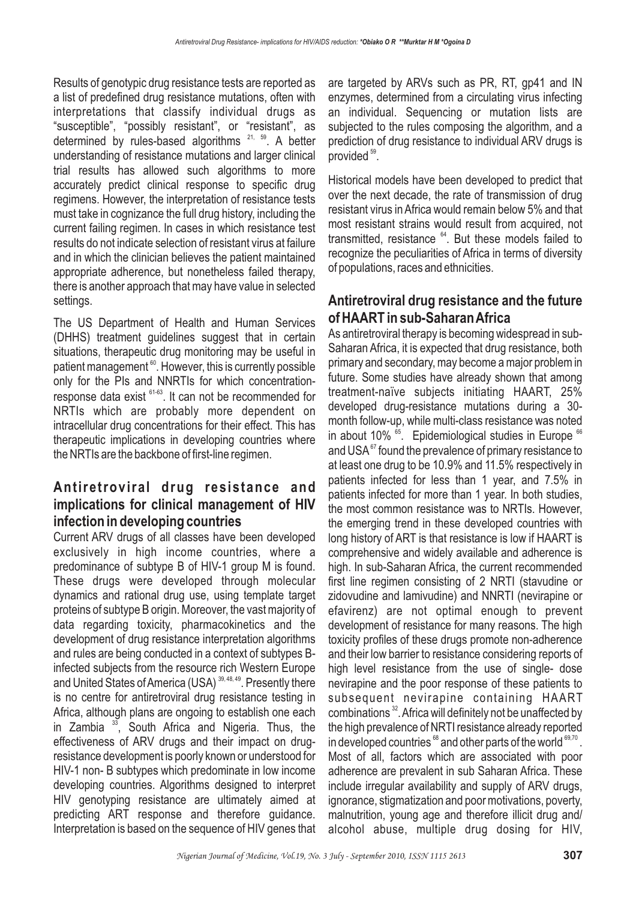Results of genotypic drug resistance tests are reported as a list of predefined drug resistance mutations, often with interpretations that classify individual drugs as "susceptible", "possibly resistant", or "resistant", as determined by rules-based algorithms <sup>21, 59</sup>. A better understanding of resistance mutations and larger clinical trial results has allowed such algorithms to more accurately predict clinical response to specific drug regimens. However, the interpretation of resistance tests must take in cognizance the full drug history, including the current failing regimen. In cases in which resistance test results do not indicate selection of resistant virus at failure and in which the clinician believes the patient maintained appropriate adherence, but nonetheless failed therapy, there is another approach that may have value in selected settings.

The US Department of Health and Human Services (DHHS) treatment guidelines suggest that in certain situations, therapeutic drug monitoring may be useful in patient management  $^{\circ\circ}$ . However, this is currently possible only for the PIs and NNRTIs for which concentrationresponse data exist <sup>61-63</sup>. It can not be recommended for NRTIs which are probably more dependent on intracellular drug concentrations for their effect. This has therapeutic implications in developing countries where the NRTIs are the backbone of first-line regimen.

## **Antiretroviral drug resistance and implications for clinical management of HIV infection in developing countries**

Current ARV drugs of all classes have been developed exclusively in high income countries, where a predominance of subtype B of HIV-1 group M is found. These drugs were developed through molecular dynamics and rational drug use, using template target proteins of subtype B origin. Moreover, the vast majority of data regarding toxicity, pharmacokinetics and the development of drug resistance interpretation algorithms and rules are being conducted in a context of subtypes Binfected subjects from the resource rich Western Europe and United States of America (USA)  $^{39,48,49}$ . Presently there is no centre for antiretroviral drug resistance testing in Africa, although plans are ongoing to establish one each in Zambia <sup>33</sup>, South Africa and Nigeria. Thus, the effectiveness of ARV drugs and their impact on drugresistance development is poorly known or understood for HIV-1 non- B subtypes which predominate in low income developing countries. Algorithms designed to interpret HIV genotyping resistance are ultimately aimed at predicting ART response and therefore guidance. Interpretation is based on the sequence of HIV genes that

are targeted by ARVs such as PR, RT, gp41 and IN enzymes, determined from a circulating virus infecting an individual. Sequencing or mutation lists are subjected to the rules composing the algorithm, and a prediction of drug resistance to individual ARV drugs is provided<sup>59</sup>.

Historical models have been developed to predict that over the next decade, the rate of transmission of drug resistant virus in Africa would remain below 5% and that most resistant strains would result from acquired, not transmitted, resistance <sup>64</sup>. But these models failed to recognize the peculiarities of Africa in terms of diversity of populations, races and ethnicities.

# **Antiretroviral drug resistance and the future of HAART in sub-SaharanAfrica**

As antiretroviral therapy is becoming widespread in sub-Saharan Africa, it is expected that drug resistance, both primary and secondary, may become a major problem in future. Some studies have already shown that among treatment-naïve subjects initiating HAART, 25% developed drug-resistance mutations during a 30 month follow-up, while multi-class resistance was noted in about 10%  $<sup>65</sup>$ . Epidemiological studies in Europe  $<sup>66</sup>$ </sup></sup> and USA $^{\mathrm{67}}$  found the prevalence of primary resistance to at least one drug to be 10.9% and 11.5% respectively in patients infected for less than 1 year, and 7.5% in patients infected for more than 1 year. In both studies, the most common resistance was to NRTIs. However, the emerging trend in these developed countries with long history of ART is that resistance is low if HAART is comprehensive and widely available and adherence is high. In sub-Saharan Africa, the current recommended first line regimen consisting of 2 NRTI (stavudine or zidovudine and lamivudine) and NNRTI (nevirapine or efavirenz) are not optimal enough to prevent development of resistance for many reasons. The high toxicity profiles of these drugs promote non-adherence and their low barrier to resistance considering reports of high level resistance from the use of single- dose nevirapine and the poor response of these patients to subsequent nevirapine containing HAART combinations  $^{32}$ . Africa will definitely not be unaffected by the high prevalence of NRTI resistance already reported in developed countries  $^{\scriptscriptstyle 68}$  and other parts of the world  $^{\scriptscriptstyle 69,70}$  . Most of all, factors which are associated with poor adherence are prevalent in sub Saharan Africa. These include irregular availability and supply of ARV drugs, ignorance, stigmatization and poor motivations, poverty, malnutrition, young age and therefore illicit drug and/ alcohol abuse, multiple drug dosing for HIV,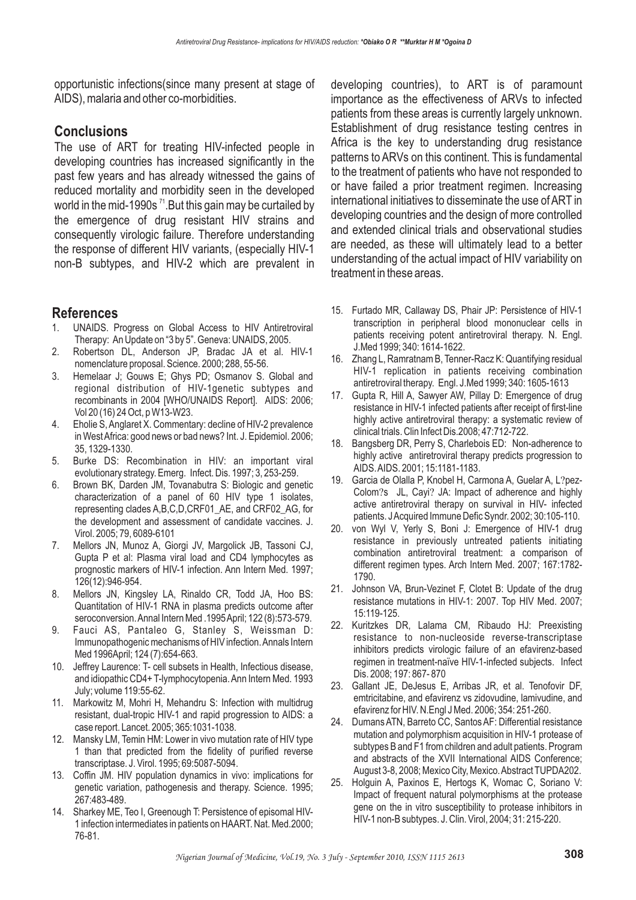opportunistic infections(since many present at stage of AIDS), malaria and other co-morbidities.

### **Conclusions**

The use of ART for treating HIV-infected people in developing countries has increased significantly in the past few years and has already witnessed the gains of reduced mortality and morbidity seen in the developed world in the mid-1990s  $^{71}$ .But this gain may be curtailed by the emergence of drug resistant HIV strains and consequently virologic failure. Therefore understanding the response of different HIV variants, (especially HIV-1 non-B subtypes, and HIV-2 which are prevalent in

### **References**

- 1. UNAIDS. Progress on Global Access to HIV Antiretroviral Therapy: An Update on "3 by 5". Geneva: UNAIDS, 2005.
- 2. Robertson DL, Anderson JP, Bradac JA et al. HIV-1 nomenclature proposal. Science. 2000; 288, 55-56.
- 3. Hemelaar J; Gouws E; Ghys PD; Osmanov S. Global and regional distribution of HIV-1genetic subtypes and recombinants in 2004 [WHO/UNAIDS Report]. AIDS: 2006; Vol 20 (16) 24 Oct, p W13-W23.
- 4. Eholie S, Anglaret X. Commentary: decline of HIV-2 prevalence in WestAfrica: good news or bad news? Int. J. Epidemiol. 2006; 35, 1329-1330.
- 5. Burke DS: Recombination in HIV: an important viral evolutionary strategy. Emerg. Infect. Dis. 1997; 3, 253-259.
- 6. Brown BK, Darden JM, Tovanabutra S: Biologic and genetic characterization of a panel of 60 HIV type 1 isolates, representing clades A,B,C,D,CRF01\_AE, and CRF02\_AG, for the development and assessment of candidate vaccines. J. Virol. 2005; 79, 6089-6101
- 7. Mellors JN, Munoz A, Giorgi JV, Margolick JB, Tassoni CJ, Gupta P et al: Plasma viral load and CD4 lymphocytes as prognostic markers of HIV-1 infection. Ann Intern Med. 1997; 126(12):946-954.
- 8. Mellors JN, Kingsley LA, Rinaldo CR, Todd JA, Hoo BS: Quantitation of HIV-1 RNA in plasma predicts outcome after seroconversion.Annal Intern Med .1995April; 122 (8):573-579.
- 9. Fauci AS, Pantaleo G, Stanley S, Weissman D: Immunopathogenic mechanisms of HIV infection.Annals Intern Med 1996April; 124 (7):654-663.
- 10. Jeffrey Laurence: T- cell subsets in Health, Infectious disease, and idiopathic CD4+ T-lymphocytopenia.Ann Intern Med. 1993 July; volume 119:55-62.
- 11. Markowitz M, Mohri H, Mehandru S: Infection with multidrug resistant, dual-tropic HIV-1 and rapid progression to AIDS: a case report. Lancet. 2005; 365:1031-1038.
- 12. Mansky LM, Temin HM: Lower in vivo mutation rate of HIV type 1 than that predicted from the fidelity of purified reverse transcriptase. J. Virol. 1995; 69:5087-5094.
- 13. Coffin JM. HIV population dynamics in vivo: implications for genetic variation, pathogenesis and therapy. Science. 1995; 267:483-489.
- 14. Sharkey ME, Teo I, Greenough T: Persistence of episomal HIV-1 infection intermediates in patients on HAART. Nat. Med.2000; 76-81.

developing countries), to ART is of paramount importance as the effectiveness of ARVs to infected patients from these areas is currently largely unknown. Establishment of drug resistance testing centres in Africa is the key to understanding drug resistance patterns to ARVs on this continent. This is fundamental to the treatment of patients who have not responded to or have failed a prior treatment regimen. Increasing international initiatives to disseminate the use of ART in developing countries and the design of more controlled and extended clinical trials and observational studies are needed, as these will ultimately lead to a better understanding of the actual impact of HIV variability on treatment in these areas.

- 15. Furtado MR, Callaway DS, Phair JP: Persistence of HIV-1 transcription in peripheral blood mononuclear cells in patients receiving potent antiretroviral therapy. N. Engl. J.Med 1999; 340: 1614-1622.
- 16. Zhang L, Ramratnam B, Tenner-Racz K: Quantifying residual HIV-1 replication in patients receiving combination antiretroviral therapy. Engl. J.Med 1999; 340: 1605-1613
- 17. Gupta R, Hill A, Sawyer AW, Pillay D: Emergence of drug resistance in HIV-1 infected patients after receipt of first-line highly active antiretroviral therapy: a systematic review of clinical trials. Clin Infect Dis.2008; 47:712-722.
- 18. Bangsberg DR, Perry S, Charlebois ED: Non-adherence to highly active antiretroviral therapy predicts progression to AIDS.AIDS. 2001; 15:1181-1183.
- 19. Garcia de Olalla P, Knobel H, Carmona A, Guelar A, L?pez-Colom?s JL, Cayi? JA: Impact of adherence and highly active antiretroviral therapy on survival in HIV- infected patients. JAcquired Immune Defic Syndr. 2002; 30:105-110.
- 20. von Wyl V, Yerly S, Boni J: Emergence of HIV-1 drug resistance in previously untreated patients initiating combination antiretroviral treatment: a comparison of different regimen types. Arch Intern Med. 2007; 167:1782- 1790.
- 21. Johnson VA, Brun-Vezinet F, Clotet B: Update of the drug resistance mutations in HIV-1: 2007. Top HIV Med. 2007; 15:119-125.
- 22. Kuritzkes DR, Lalama CM, Ribaudo HJ: Preexisting resistance to non-nucleoside reverse-transcriptase inhibitors predicts virologic failure of an efavirenz-based regimen in treatment-naïve HIV-1-infected subjects. Infect Dis. 2008; 197: 867- 870
- 23. Gallant JE, DeJesus E, Arribas JR, et al. Tenofovir DF, emtricitabine, and efavirenz vs zidovudine, lamivudine, and efavirenz for HIV. N.Engl J Med. 2006; 354: 251-260.
- 24. Dumans ATN, Barreto CC, Santos AF: Differential resistance mutation and polymorphism acquisition in HIV-1 protease of subtypes B and F1 from children and adult patients. Program and abstracts of the XVII International AIDS Conference; August 3-8, 2008; Mexico City, Mexico.Abstract TUPDA202.
- 25. Holguin A, Paxinos E, Hertogs K, Womac C, Soriano V: Impact of frequent natural polymorphisms at the protease gene on the in vitro susceptibility to protease inhibitors in HIV-1 non-B subtypes. J. Clin. Virol, 2004; 31: 215-220.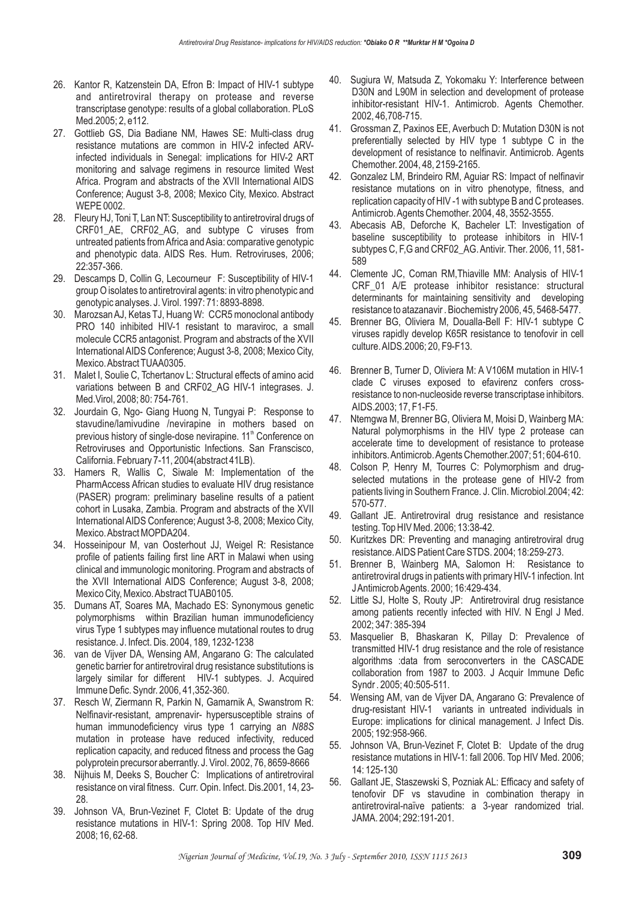- 26. Kantor R, Katzenstein DA, Efron B: Impact of HIV-1 subtype and antiretroviral therapy on protease and reverse transcriptase genotype: results of a global collaboration. PLoS Med.2005; 2, e112.
- 27. Gottlieb GS, Dia Badiane NM, Hawes SE: Multi-class drug resistance mutations are common in HIV-2 infected ARVinfected individuals in Senegal: implications for HIV-2 ART monitoring and salvage regimens in resource limited West Africa. Program and abstracts of the XVII International AIDS Conference; August 3-8, 2008; Mexico City, Mexico. Abstract WEPE 0002.
- 28. Fleury HJ, Toni T, Lan NT: Susceptibility to antiretroviral drugs of CRF01 AE, CRF02 AG, and subtype C viruses from untreated patients fromAfrica andAsia: comparative genotypic and phenotypic data. AIDS Res. Hum. Retroviruses, 2006; 22:357-366.
- 29. Descamps D, Collin G, Lecourneur F: Susceptibility of HIV-1 group O isolates to antiretroviral agents: in vitro phenotypic and genotypic analyses. J. Virol. 1997: 71: 8893-8898.
- 30. MarozsanAJ, Ketas TJ, Huang W: CCR5 monoclonal antibody PRO 140 inhibited HIV-1 resistant to maraviroc, a small molecule CCR5 antagonist. Program and abstracts of the XVII International AIDS Conference; August 3-8, 2008; Mexico City, Mexico.Abstract TUAA0305.
- 31. Malet I, Soulie C, Tchertanov L: Structural effects of amino acid variations between B and CRF02\_AG HIV-1 integrases. J. Med.Virol, 2008; 80: 754-761.
- 32. Jourdain G, Ngo- Giang Huong N, Tungyai P: Response to stavudine/lamivudine /nevirapine in mothers based on previous history of single-dose nevirapine. 11<sup>th</sup> Conference on Retroviruses and Opportunistic Infections. San Franscisco, California. February 7-11, 2004(abstract 41LB).
- 33. Hamers R, Wallis C, Siwale M: Implementation of the PharmAccess African studies to evaluate HIV drug resistance (PASER) program: preliminary baseline results of a patient cohort in Lusaka, Zambia. Program and abstracts of the XVII International AIDS Conference; August 3-8, 2008; Mexico City, Mexico.Abstract MOPDA204.
- 34. Hosseinipour M, van Oosterhout JJ, Weigel R: Resistance profile of patients failing first line ART in Malawi when using clinical and immunologic monitoring. Program and abstracts of the XVII International AIDS Conference; August 3-8, 2008; Mexico City, Mexico.Abstract TUAB0105.
- 35. Dumans AT, Soares MA, Machado ES: Synonymous genetic polymorphisms within Brazilian human immunodeficiency virus Type 1 subtypes may influence mutational routes to drug resistance. J. Infect. Dis. 2004, 189, 1232-1238
- 36. van de Vijver DA, Wensing AM, Angarano G: The calculated genetic barrier for antiretroviral drug resistance substitutions is largely similar for different HIV-1 subtypes. J. Acquired Immune Defic. Syndr. 2006, 41,352-360.
- 37. Resch W, Ziermann R, Parkin N, Gamarnik A, Swanstrom R: Nelfinavir-resistant, amprenavir- hypersusceptible strains of human immunodeficiency virus type 1 carrying an *N88S* mutation in protease have reduced infectivity, reduced replication capacity, and reduced fitness and process the Gag polyprotein precursor aberrantly. J. Virol. 2002, 76, 8659-8666
- 38. Nijhuis M, Deeks S, Boucher C: Implications of antiretroviral resistance on viral fitness. Curr. Opin. Infect. Dis.2001, 14, 23- 28.
- 39. Johnson VA, Brun-Vezinet F, Clotet B: Update of the drug resistance mutations in HIV-1: Spring 2008. Top HIV Med. 2008; 16, 62-68.
- 40. Sugiura W, Matsuda Z, Yokomaku Y: Interference between D30N and L90M in selection and development of protease inhibitor-resistant HIV-1. Antimicrob. Agents Chemother. 2002, 46,708-715.
- 41. Grossman Z, Paxinos EE, Averbuch D: Mutation D30N is not preferentially selected by HIV type 1 subtype C in the development of resistance to nelfinavir. Antimicrob. Agents Chemother. 2004, 48, 2159-2165.
- 42. Gonzalez LM, Brindeiro RM, Aguiar RS: Impact of nelfinavir resistance mutations on in vitro phenotype, fitness, and replication capacity of HIV -1 with subtype B and C proteases. Antimicrob.Agents Chemother. 2004, 48, 3552-3555.
- 43. Abecasis AB, Deforche K, Bacheler LT: Investigation of baseline susceptibility to protease inhibitors in HIV-1 subtypes C, F,G and CRF02\_AG. Antivir. Ther. 2006, 11, 581- 589
- 44. Clemente JC, Coman RM,Thiaville MM: Analysis of HIV-1 CRF\_01 A/E protease inhibitor resistance: structural determinants for maintaining sensitivity and developing resistance to atazanavir . Biochemistry 2006, 45, 5468-5477.
- 45. Brenner BG, Oliviera M, Doualla-Bell F: HIV-1 subtype C viruses rapidly develop K65R resistance to tenofovir in cell culture.AIDS.2006; 20, F9-F13.
- 46. Brenner B, Turner D, Oliviera M: A V106M mutation in HIV-1 clade C viruses exposed to efavirenz confers crossresistance to non-nucleoside reverse transcriptase inhibitors. AIDS.2003; 17, F1-F5.
- 47. Ntemgwa M, Brenner BG, Oliviera M, Moisi D, Wainberg MA: Natural polymorphisms in the HIV type 2 protease can accelerate time to development of resistance to protease inhibitors.Antimicrob.Agents Chemother.2007; 51; 604-610.
- 48. Colson P, Henry M, Tourres C: Polymorphism and drugselected mutations in the protease gene of HIV-2 from patients living in Southern France. J. Clin. Microbiol.2004; 42: 570-577.
- 49. Gallant JE. Antiretroviral drug resistance and resistance testing. Top HIV Med. 2006; 13:38-42.
- 50. Kuritzkes DR: Preventing and managing antiretroviral drug resistance.AIDS Patient Care STDS. 2004; 18:259-273.
- 51. Brenner B, Wainberg MA, Salomon H: Resistance to antiretroviral drugs in patients with primary HIV-1 infection. Int JAntimicrobAgents. 2000; 16:429-434.
- 52. Little SJ, Holte S, Routy JP: Antiretroviral drug resistance among patients recently infected with HIV. N Engl J Med. 2002; 347: 385-394
- 53. Masquelier B, Bhaskaran K, Pillay D: Prevalence of transmitted HIV-1 drug resistance and the role of resistance algorithms :data from seroconverters in the CASCADE collaboration from 1987 to 2003. J Acquir Immune Defic Syndr . 2005; 40:505-511.
- 54. Wensing AM, van de Vijver DA, Angarano G: Prevalence of drug-resistant HIV-1 variants in untreated individuals in Europe: implications for clinical management. J Infect Dis. 2005; 192:958-966.
- 55. Johnson VA, Brun-Vezinet F, Clotet B: Update of the drug resistance mutations in HIV-1: fall 2006. Top HIV Med. 2006; 14: 125-130
- 56. Gallant JE, Staszewski S, Pozniak AL: Efficacy and safety of tenofovir DF vs stavudine in combination therapy in antiretroviral-naïve patients: a 3-year randomized trial. JAMA. 2004; 292:191-201.